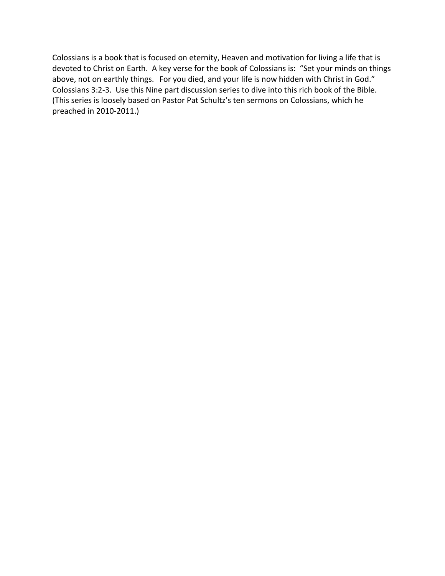Colossians is a book that is focused on eternity, Heaven and motivation for living a life that is devoted to Christ on Earth. A key verse for the book of Colossians is: "Set your minds on things above, not on earthly things. For you died, and your life is now hidden with Christ in God." Colossians 3:2-3. Use this Nine part discussion series to dive into this rich book of the Bible. (This series is loosely based on Pastor Pat Schultz's ten sermons on Colossians, which he preached in 2010-2011.)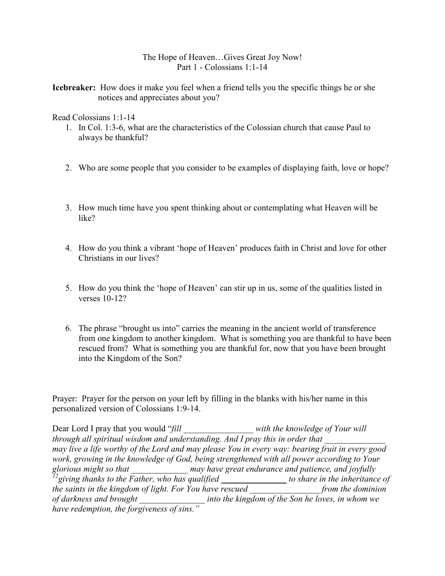# The Hope of Heaven…Gives Great Joy Now! Part 1 - Colossians 1:1-14

**Icebreaker:** How does it make you feel when a friend tells you the specific things he or she notices and appreciates about you?

Read Colossians 1:1-14

- 1. In Col. 1:3-6, what are the characteristics of the Colossian church that cause Paul to always be thankful?
- 2. Who are some people that you consider to be examples of displaying faith, love or hope?
- 3. How much time have you spent thinking about or contemplating what Heaven will be like?
- 4. How do you think a vibrant 'hope of Heaven' produces faith in Christ and love for other Christians in our lives?
- 5. How do you think the 'hope of Heaven' can stir up in us, some of the qualities listed in verses 10-12?
- 6. The phrase "brought us into" carries the meaning in the ancient world of transference from one kingdom to another kingdom. What is something you are thankful to have been rescued from? What is something you are thankful for, now that you have been brought into the Kingdom of the Son?

Prayer: Prayer for the person on your left by filling in the blanks with his/her name in this personalized version of Colossians 1:9-14.

Dear Lord I pray that you would "*fill* with the knowledge of Your will through all spiritual wisdom and understanding. And I pray this in order that *may live a life worthy of the Lord and may please You in every way: bearing fruit in every good work, growing in the knowledge of God, being strengthened with all power according to Your glorious might so that glorious might so that \_\_\_\_\_\_\_\_\_\_\_\_\_ may have great endurance and patience, and joyfully*  <sup>12</sup>*giving thanks to the Father, who has qualified \_\_\_\_\_\_\_\_\_\_\_\_\_\_\_\_\_ to share in the inheritance of the saints in the kingdom of light. For You have rescued \_\_\_\_\_\_\_\_\_\_\_\_\_\_\_\_ from the dominion of darkness and brought \_\_\_\_\_\_\_\_\_\_\_\_\_\_\_ into the kingdom of the Son he loves, in whom we have redemption, the forgiveness of sins."*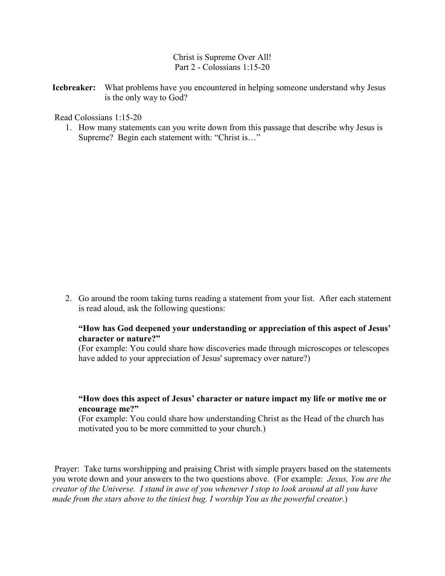### Christ is Supreme Over All! Part 2 - Colossians 1:15-20

**Icebreaker:** What problems have you encountered in helping someone understand why Jesus is the only way to God?

Read Colossians 1:15-20

1. How many statements can you write down from this passage that describe why Jesus is Supreme? Begin each statement with: "Christ is…"

2. Go around the room taking turns reading a statement from your list. After each statement is read aloud, ask the following questions:

### **"How has God deepened your understanding or appreciation of this aspect of Jesus' character or nature?"**

(For example: You could share how discoveries made through microscopes or telescopes have added to your appreciation of Jesus' supremacy over nature?)

# **"How does this aspect of Jesus' character or nature impact my life or motive me or encourage me?"**

(For example: You could share how understanding Christ as the Head of the church has motivated you to be more committed to your church.)

 Prayer: Take turns worshipping and praising Christ with simple prayers based on the statements you wrote down and your answers to the two questions above. (For example: *Jesus, You are the creator of the Universe. I stand in awe of you whenever I stop to look around at all you have made from the stars above to the tiniest bug. I worship You as the powerful creator.*)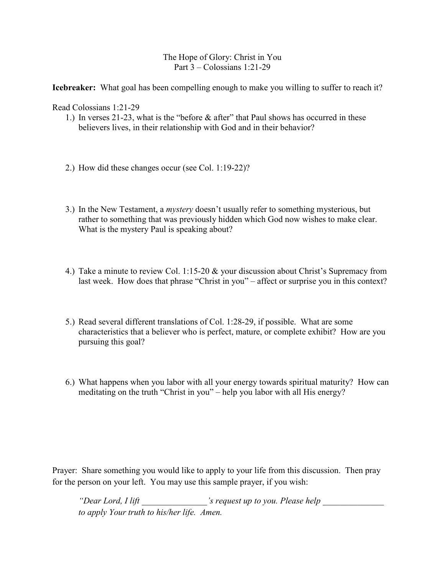### The Hope of Glory: Christ in You Part 3 – Colossians 1:21-29

**Icebreaker:** What goal has been compelling enough to make you willing to suffer to reach it?

Read Colossians 1:21-29

- 1.) In verses 21-23, what is the "before & after" that Paul shows has occurred in these believers lives, in their relationship with God and in their behavior?
- 2.) How did these changes occur (see Col. 1:19-22)?
- 3.) In the New Testament, a *mystery* doesn't usually refer to something mysterious, but rather to something that was previously hidden which God now wishes to make clear. What is the mystery Paul is speaking about?
- 4.) Take a minute to review Col. 1:15-20 & your discussion about Christ's Supremacy from last week. How does that phrase "Christ in you" – affect or surprise you in this context?
- 5.) Read several different translations of Col. 1:28-29, if possible. What are some characteristics that a believer who is perfect, mature, or complete exhibit? How are you pursuing this goal?
- 6.) What happens when you labor with all your energy towards spiritual maturity? How can meditating on the truth "Christ in you" – help you labor with all His energy?

Prayer: Share something you would like to apply to your life from this discussion. Then pray for the person on your left. You may use this sample prayer, if you wish:

*"Dear Lord, I lift \_\_\_\_\_\_\_\_\_\_\_\_\_\_\_'s request up to you. Please help \_\_\_\_\_\_\_\_\_\_\_\_\_\_ to apply Your truth to his/her life. Amen.*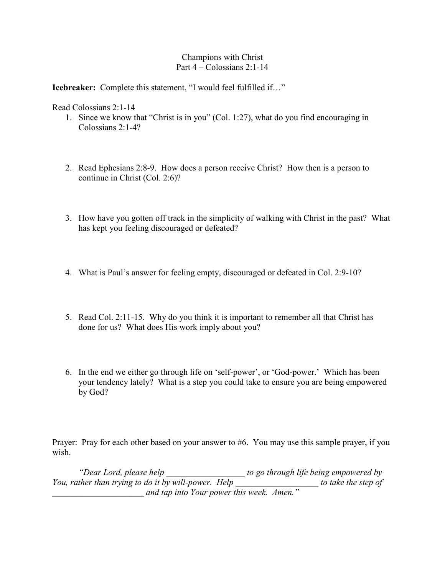## Champions with Christ Part 4 – Colossians 2:1-14

**Icebreaker:** Complete this statement, "I would feel fulfilled if…"

Read Colossians 2:1-14

- 1. Since we know that "Christ is in you" (Col. 1:27), what do you find encouraging in Colossians 2:1-4?
- 2. Read Ephesians 2:8-9. How does a person receive Christ? How then is a person to continue in Christ (Col. 2:6)?
- 3. How have you gotten off track in the simplicity of walking with Christ in the past? What has kept you feeling discouraged or defeated?
- 4. What is Paul's answer for feeling empty, discouraged or defeated in Col. 2:9-10?
- 5. Read Col. 2:11-15. Why do you think it is important to remember all that Christ has done for us? What does His work imply about you?
- 6. In the end we either go through life on 'self-power', or 'God-power.' Which has been your tendency lately? What is a step you could take to ensure you are being empowered by God?

Prayer: Pray for each other based on your answer to #6. You may use this sample prayer, if you wish.

*"Dear Lord, please help \_\_\_\_\_\_\_\_\_\_\_\_\_\_\_\_\_\_ to go through life being empowered by You, rather than trying to do it by will-power. Help \_\_\_\_\_\_\_\_\_\_\_\_\_\_\_\_\_\_\_ to take the step of \_\_\_\_\_\_\_\_\_\_\_\_\_\_\_\_\_\_\_\_\_ and tap into Your power this week. Amen."*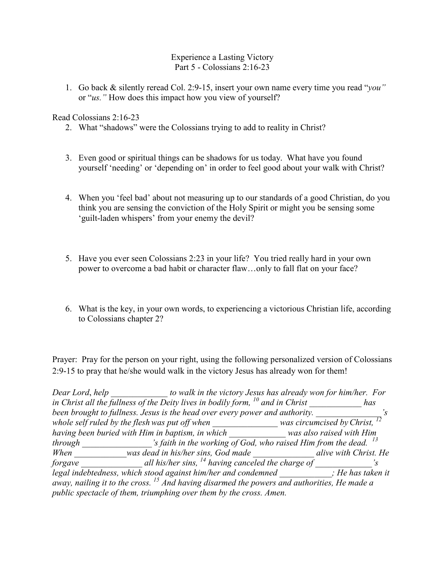Experience a Lasting Victory Part 5 - Colossians 2:16-23

1. Go back & silently reread Col. 2:9-15, insert your own name every time you read "*you"* or "*us."* How does this impact how you view of yourself?

Read Colossians 2:16-23

- 2. What "shadows" were the Colossians trying to add to reality in Christ?
- 3. Even good or spiritual things can be shadows for us today. What have you found yourself 'needing' or 'depending on' in order to feel good about your walk with Christ?
- 4. When you 'feel bad' about not measuring up to our standards of a good Christian, do you think you are sensing the conviction of the Holy Spirit or might you be sensing some 'guilt-laden whispers' from your enemy the devil?
- 5. Have you ever seen Colossians 2:23 in your life? You tried really hard in your own power to overcome a bad habit or character flaw…only to fall flat on your face?
- 6. What is the key, in your own words, to experiencing a victorious Christian life, according to Colossians chapter 2?

Prayer: Pray for the person on your right, using the following personalized version of Colossians 2:9-15 to pray that he/she would walk in the victory Jesus has already won for them!

*Dear Lord*, *help \_\_\_\_\_\_\_\_\_\_\_\_\_ to walk in the victory Jesus has already won for him/her. For in Christ all the fullness of the Deity lives in bodily form, <sup>10</sup> and in Christ \_\_\_\_\_\_\_\_\_\_\_\_ has been brought to fullness. Jesus is the head over every power and authority.*  $\dot{s}$ *whole self ruled by the flesh was put off when \_\_\_\_\_\_\_\_\_\_\_\_\_\_\_ was circumcised by Christ, <sup>12</sup> having been buried with Him in baptism, in which \_\_\_\_\_\_\_\_\_\_\_\_\_ was also raised with Him through \_\_\_\_\_\_\_\_\_\_\_\_\_\_\_\_'s faith in the working of God, who raised Him from the dead. <sup>13</sup> When \_\_\_\_\_\_\_\_\_\_\_\_was dead in his/her sins, God made \_\_\_\_\_\_\_\_\_\_\_\_\_\_ alive with Christ. He forgave \_\_\_\_\_\_\_\_\_\_\_\_\_\_ all his/her sins, <sup>14</sup> having canceled the charge of \_\_\_\_\_\_\_\_\_\_\_\_\_'s legal indebtedness, which stood against him/her and condemned \_\_\_\_\_\_\_\_\_\_\_\_; He has taken it away, nailing it to the cross. <sup>15</sup> And having disarmed the powers and authorities, He made a public spectacle of them, triumphing over them by the cross. Amen.*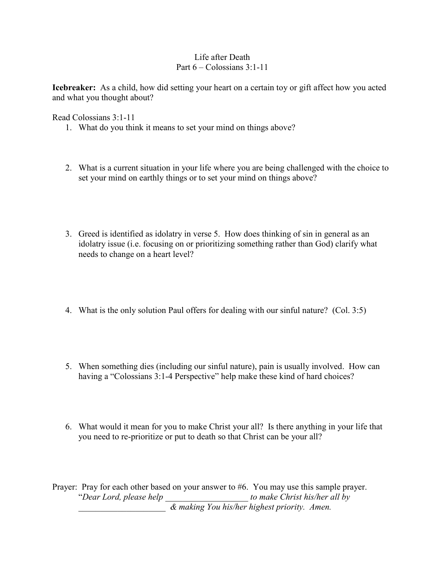# Life after Death Part  $6 - \text{Colossians } 3 \cdot 1 - 11$

**Icebreaker:** As a child, how did setting your heart on a certain toy or gift affect how you acted and what you thought about?

Read Colossians 3:1-11

- 1. What do you think it means to set your mind on things above?
- 2. What is a current situation in your life where you are being challenged with the choice to set your mind on earthly things or to set your mind on things above?
- 3. Greed is identified as idolatry in verse 5. How does thinking of sin in general as an idolatry issue (i.e. focusing on or prioritizing something rather than God) clarify what needs to change on a heart level?
- 4. What is the only solution Paul offers for dealing with our sinful nature? (Col. 3:5)
- 5. When something dies (including our sinful nature), pain is usually involved. How can having a "Colossians 3:1-4 Perspective" help make these kind of hard choices?
- 6. What would it mean for you to make Christ your all? Is there anything in your life that you need to re-prioritize or put to death so that Christ can be your all?

Prayer: Pray for each other based on your answer to #6. You may use this sample prayer. "*Dear Lord, please help \_\_\_\_\_\_\_\_\_\_\_\_\_\_\_\_\_\_\_ to make Christ his/her all by \_\_\_\_\_\_\_\_\_\_\_\_\_\_\_\_\_\_\_\_ & making You his/her highest priority. Amen.*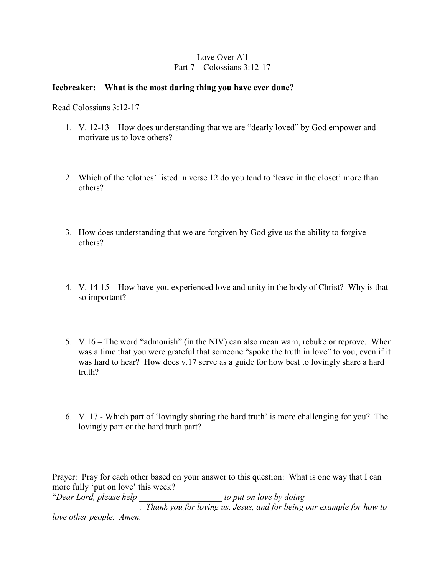# Love Over All Part  $7 - \text{Colossians } 3 \cdot 12 - 17$

### **Icebreaker: What is the most daring thing you have ever done?**

Read Colossians 3:12-17

- 1. V. 12-13 How does understanding that we are "dearly loved" by God empower and motivate us to love others?
- 2. Which of the 'clothes' listed in verse 12 do you tend to 'leave in the closet' more than others?
- 3. How does understanding that we are forgiven by God give us the ability to forgive others?
- 4. V. 14-15 How have you experienced love and unity in the body of Christ? Why is that so important?
- 5. V.16 The word "admonish" (in the NIV) can also mean warn, rebuke or reprove. When was a time that you were grateful that someone "spoke the truth in love" to you, even if it was hard to hear? How does v.17 serve as a guide for how best to lovingly share a hard truth?
- 6. V. 17 Which part of 'lovingly sharing the hard truth' is more challenging for you? The lovingly part or the hard truth part?

Prayer: Pray for each other based on your answer to this question: What is one way that I can more fully 'put on love' this week?<br>"Dear Lord, please help

"*Dear Lord, please help \_\_\_\_\_\_\_\_\_\_\_\_\_\_\_\_\_\_\_ to put on love by doing \_\_\_\_\_\_\_\_\_\_\_\_\_\_\_\_\_\_\_\_. Thank you for loving us, Jesus, and for being our example for how to* 

*love other people. Amen.*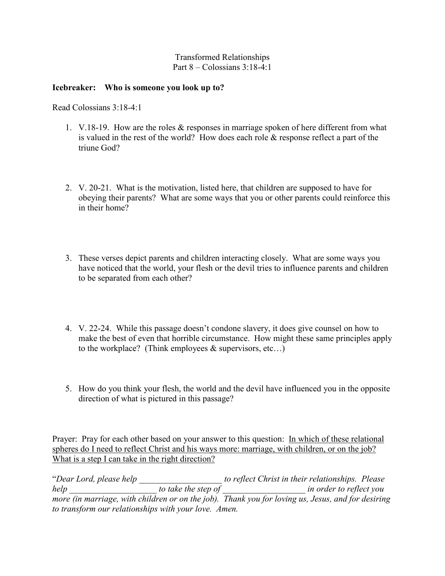# Transformed Relationships Part 8 – Colossians 3:18-4:1

#### **Icebreaker: Who is someone you look up to?**

Read Colossians 3:18-4:1

- 1. V.18-19. How are the roles & responses in marriage spoken of here different from what is valued in the rest of the world? How does each role & response reflect a part of the triune God?
- 2. V. 20-21. What is the motivation, listed here, that children are supposed to have for obeying their parents? What are some ways that you or other parents could reinforce this in their home?
- 3. These verses depict parents and children interacting closely. What are some ways you have noticed that the world, your flesh or the devil tries to influence parents and children to be separated from each other?
- 4. V. 22-24. While this passage doesn't condone slavery, it does give counsel on how to make the best of even that horrible circumstance. How might these same principles apply to the workplace? (Think employees  $&$  supervisors, etc...)
- 5. How do you think your flesh, the world and the devil have influenced you in the opposite direction of what is pictured in this passage?

Prayer: Pray for each other based on your answer to this question: In which of these relational spheres do I need to reflect Christ and his ways more: marriage, with children, or on the job? What is a step I can take in the right direction?

"*Dear Lord, please help \_\_\_\_\_\_\_\_\_\_\_\_\_\_\_\_\_\_\_ to reflect Christ in their relationships. Please help \_\_\_\_\_\_\_\_\_\_\_\_\_\_\_\_\_\_\_\_ to take the step of \_\_\_\_\_\_\_\_\_\_\_\_\_\_\_\_\_\_\_ in order to reflect you more (in marriage, with children or on the job). Thank you for loving us, Jesus, and for desiring to transform our relationships with your love. Amen.*